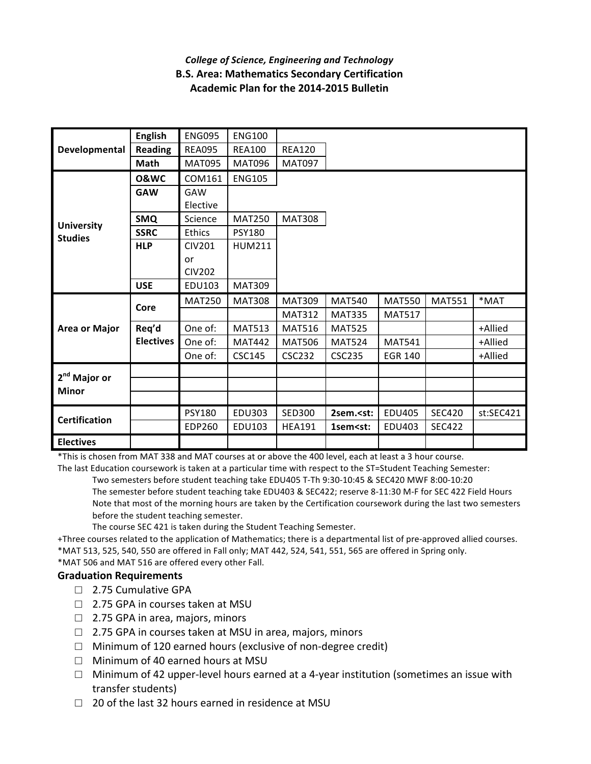## *College of Science, Engineering and Technology* **B.S. Area: Mathematics Secondary Certification Academic Plan for the 2014-2015 Bulletin**

| Developmental<br><b>University</b><br><b>Studies</b> | <b>English</b>   | <b>ENG095</b> | <b>ENG100</b> |               |                                                                                         |                |               |           |
|------------------------------------------------------|------------------|---------------|---------------|---------------|-----------------------------------------------------------------------------------------|----------------|---------------|-----------|
|                                                      | <b>Reading</b>   | <b>REA095</b> | <b>REA100</b> | <b>REA120</b> |                                                                                         |                |               |           |
|                                                      | Math             | <b>MAT095</b> | <b>MAT096</b> | <b>MAT097</b> |                                                                                         |                |               |           |
|                                                      | <b>0&amp;WC</b>  | COM161        | <b>ENG105</b> |               |                                                                                         |                |               |           |
|                                                      | <b>GAW</b>       | GAW           |               |               |                                                                                         |                |               |           |
|                                                      |                  | Elective      |               |               |                                                                                         |                |               |           |
|                                                      | <b>SMQ</b>       | Science       | <b>MAT250</b> | <b>MAT308</b> |                                                                                         |                |               |           |
|                                                      | <b>SSRC</b>      | Ethics        | <b>PSY180</b> |               |                                                                                         |                |               |           |
|                                                      | <b>HLP</b>       | <b>CIV201</b> | <b>HUM211</b> |               |                                                                                         |                |               |           |
|                                                      |                  | or            |               |               |                                                                                         |                |               |           |
|                                                      |                  | <b>CIV202</b> |               |               |                                                                                         |                |               |           |
|                                                      | <b>USE</b>       | EDU103        | <b>MAT309</b> |               |                                                                                         |                |               |           |
| Area or Major                                        | Core             | <b>MAT250</b> | <b>MAT308</b> | <b>MAT309</b> | <b>MAT540</b>                                                                           | <b>MAT550</b>  | <b>MAT551</b> | *MAT      |
|                                                      |                  |               |               | <b>MAT312</b> | <b>MAT335</b>                                                                           | <b>MAT517</b>  |               |           |
|                                                      | Req'd            | One of:       | <b>MAT513</b> | <b>MAT516</b> | <b>MAT525</b>                                                                           |                |               | +Allied   |
|                                                      | <b>Electives</b> | One of:       | <b>MAT442</b> | <b>MAT506</b> | <b>MAT524</b>                                                                           | <b>MAT541</b>  |               | +Allied   |
|                                                      |                  | One of:       | <b>CSC145</b> | <b>CSC232</b> | <b>CSC235</b>                                                                           | <b>EGR 140</b> |               | +Allied   |
| 2 <sup>nd</sup> Major or<br><b>Minor</b>             |                  |               |               |               |                                                                                         |                |               |           |
|                                                      |                  |               |               |               |                                                                                         |                |               |           |
|                                                      |                  |               |               |               |                                                                                         |                |               |           |
|                                                      |                  | <b>PSY180</b> | <b>EDU303</b> | <b>SED300</b> | 2sem. <st:< th=""><th><b>EDU405</b></th><th><b>SEC420</b></th><th>st:SEC421</th></st:<> | <b>EDU405</b>  | <b>SEC420</b> | st:SEC421 |
| <b>Certification</b>                                 |                  | <b>EDP260</b> | EDU103        | <b>HEA191</b> | 1sem <st:< th=""><th>EDU403</th><th><b>SEC422</b></th><th></th></st:<>                  | EDU403         | <b>SEC422</b> |           |
| <b>Electives</b>                                     |                  |               |               |               |                                                                                         |                |               |           |

\*This is chosen from MAT 338 and MAT courses at or above the 400 level, each at least a 3 hour course.

The last Education coursework is taken at a particular time with respect to the ST=Student Teaching Semester: Two semesters before student teaching take EDU405 T-Th 9:30-10:45 & SEC420 MWF 8:00-10:20 The semester before student teaching take EDU403 & SEC422; reserve 8-11:30 M-F for SEC 422 Field Hours Note that most of the morning hours are taken by the Certification coursework during the last two semesters before the student teaching semester.

The course SEC 421 is taken during the Student Teaching Semester.

+Three courses related to the application of Mathematics; there is a departmental list of pre-approved allied courses. \*MAT 513, 525, 540, 550 are offered in Fall only; MAT 442, 524, 541, 551, 565 are offered in Spring only. \*MAT 506 and MAT 516 are offered every other Fall.

## **Graduation Requirements**

- □ 2.75 Cumulative GPA
- □ 2.75 GPA in courses taken at MSU
- $\Box$  2.75 GPA in area, majors, minors
- $\Box$  2.75 GPA in courses taken at MSU in area, majors, minors
- $\Box$  Minimum of 120 earned hours (exclusive of non-degree credit)
- $\Box$  Minimum of 40 earned hours at MSU
- $\Box$  Minimum of 42 upper-level hours earned at a 4-year institution (sometimes an issue with transfer students)
- $\Box$  20 of the last 32 hours earned in residence at MSU